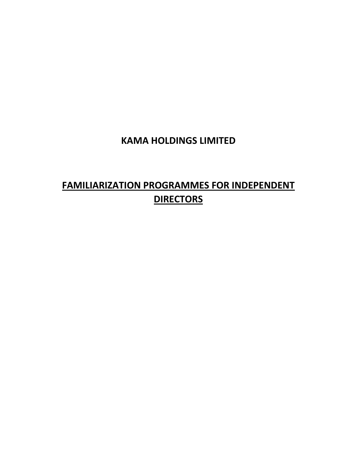# **KAMA HOLDINGS LIMITED**

# **FAMILIARIZATION PROGRAMMES FOR INDEPENDENT DIRECTORS**